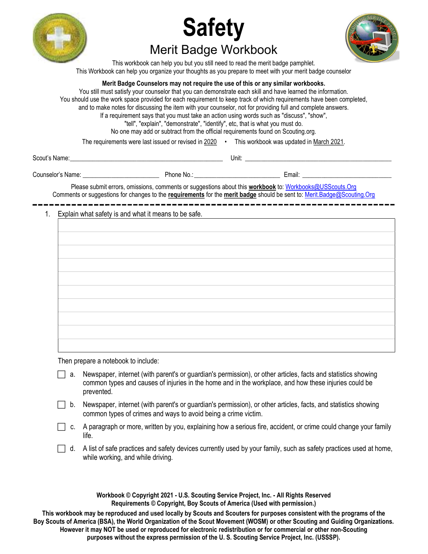





This workbook can help you but you still need to read the merit badge pamphlet. This Workbook can help you organize your thoughts as you prepare to meet with your merit badge counselor

### Merit Badge Counselors may not require the use of this or any similar workbooks.

You still must satisfy your counselor that you can demonstrate each skill and have learned the information. You should use the work space provided for each requirement to keep track of which requirements have been completed, and to make notes for discussing the item with your counselor, not for providing full and complete answers. If a requirement says that you must take an action using words such as "discuss", "show", "tell", "explain", "demonstrate", "identify", etc, that is what you must do. No one may add or subtract from the official requirements found on Scouting.org.

The requirements were last issued or revised in 2020 • This workbook was updated in March 2021.

Scout's Name: \_\_\_\_\_\_\_\_\_\_\_\_\_\_\_\_\_\_\_\_\_\_\_\_\_\_\_\_\_\_\_\_\_\_\_\_\_\_\_\_\_\_\_\_\_\_\_\_ Unit: \_\_\_\_\_\_\_\_\_\_\_\_\_\_\_\_\_\_\_\_\_\_\_\_\_\_\_\_\_\_\_\_\_\_\_\_\_\_\_\_\_\_\_\_\_\_

Counselor's Name: \_\_\_\_\_\_\_\_\_\_\_\_\_\_\_\_\_\_\_\_\_\_\_\_ Phone No.: \_\_\_\_\_\_\_\_\_\_\_\_\_\_\_\_\_\_\_\_\_\_\_\_\_\_\_ Email: \_\_\_\_\_\_\_\_\_\_\_\_\_\_\_\_\_\_\_\_\_\_\_\_\_\_\_\_

Please submit errors, omissions, comments or suggestions about this workbook to: Workbooks@USScouts.Org Comments or suggestions for changes to the requirements for the merit badge should be sent to: Merit.Badge@Scouting.Org

## 1. Explain what safety is and what it means to be safe.

| the control of the control of the control of |
|----------------------------------------------|
|                                              |
|                                              |
|                                              |
|                                              |
|                                              |
|                                              |
|                                              |
|                                              |
|                                              |
|                                              |
|                                              |
|                                              |
|                                              |
|                                              |
|                                              |
|                                              |
|                                              |
|                                              |
|                                              |
|                                              |
|                                              |
|                                              |
|                                              |
|                                              |
|                                              |
|                                              |
|                                              |
|                                              |
|                                              |
|                                              |
|                                              |
|                                              |
|                                              |
|                                              |
|                                              |
|                                              |
|                                              |
|                                              |
|                                              |
|                                              |
|                                              |
|                                              |
|                                              |
|                                              |
|                                              |
|                                              |
|                                              |
|                                              |
|                                              |
|                                              |
|                                              |
|                                              |
|                                              |
|                                              |
|                                              |
|                                              |
|                                              |
|                                              |
|                                              |
|                                              |
|                                              |
|                                              |
|                                              |
|                                              |
|                                              |
|                                              |
|                                              |
|                                              |
|                                              |
|                                              |
|                                              |
|                                              |
|                                              |
|                                              |

Then prepare a notebook to include:

- $\Box$  a. Newspaper, internet (with parent's or guardian's permission), or other articles, facts and statistics showing common types and causes of injuries in the home and in the workplace, and how these injuries could be prevented.
- b. Newspaper, internet (with parent's or guardian's permission), or other articles, facts, and statistics showing common types of crimes and ways to avoid being a crime victim.
- $\Box$  c. A paragraph or more, written by you, explaining how a serious fire, accident, or crime could change your family life.
- $\Box$  d. A list of safe practices and safety devices currently used by your family, such as safety practices used at home, while working, and while driving.

Workbook © Copyright 2021 - U.S. Scouting Service Project, Inc. - All Rights Reserved Requirements © Copyright, Boy Scouts of America (Used with permission.)

This workbook may be reproduced and used locally by Scouts and Scouters for purposes consistent with the programs of the Boy Scouts of America (BSA), the World Organization of the Scout Movement (WOSM) or other Scouting and Guiding Organizations. However it may NOT be used or reproduced for electronic redistribution or for commercial or other non-Scouting purposes without the express permission of the U. S. Scouting Service Project, Inc. (USSSP).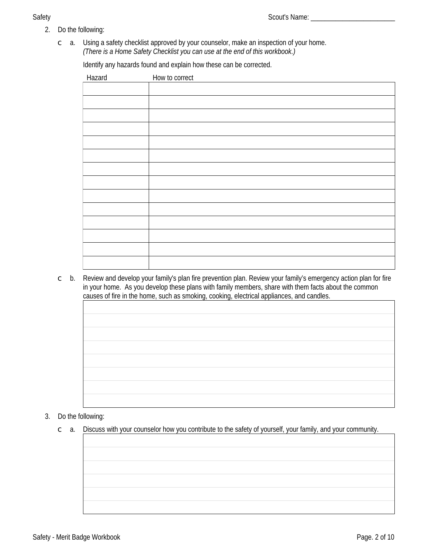# **Safety**

 $\circ$  a. Using a safety checklist approved by your counselor, make an inspection of your home. (There is a Home Safety Checklist you can use at the end of this workbook.)

Identify any hazards found and explain how these can be corrected.

| Hazard | How to correct |
|--------|----------------|
|        |                |
|        |                |
|        |                |
|        |                |
|        |                |
|        |                |
|        |                |
|        |                |
|        |                |
|        |                |
|        |                |
|        |                |
|        |                |
|        |                |

Review and develop your family's plan fire prevention plan. Review your family's emergency action plan for fire  $\subset$  b. in your home. As you develop these plans with family members, share with them facts about the common causes of fire in the home, such as smoking, cooking, electrical appliances, and candles.

# 3. Do the following:

 $\degree$  a. Discuss with your counselor how you contribute to the safety of yourself, your family, and your community.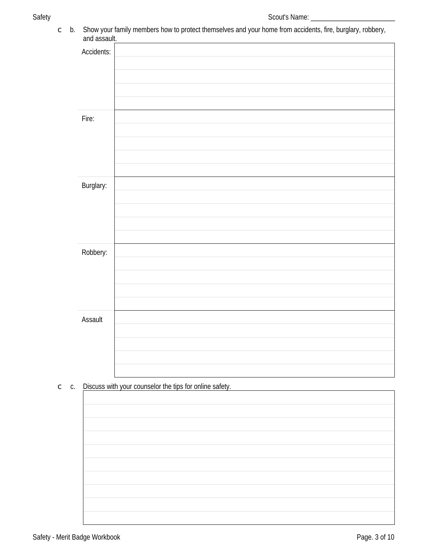c b. Show your family members how to protect themselves and your home from accidents, fire, burglary, robbery,<br>and assault.

| anu assaun.      |  |
|------------------|--|
| Accidents:       |  |
|                  |  |
|                  |  |
|                  |  |
|                  |  |
|                  |  |
| Fire:            |  |
|                  |  |
|                  |  |
|                  |  |
|                  |  |
| <b>Burglary:</b> |  |
|                  |  |
|                  |  |
|                  |  |
|                  |  |
|                  |  |
| Robbery:         |  |
|                  |  |
|                  |  |
|                  |  |
|                  |  |
| <b>Assault</b>   |  |
|                  |  |
|                  |  |
|                  |  |
|                  |  |
|                  |  |

C c. Discuss with your counselor the tips for online safety.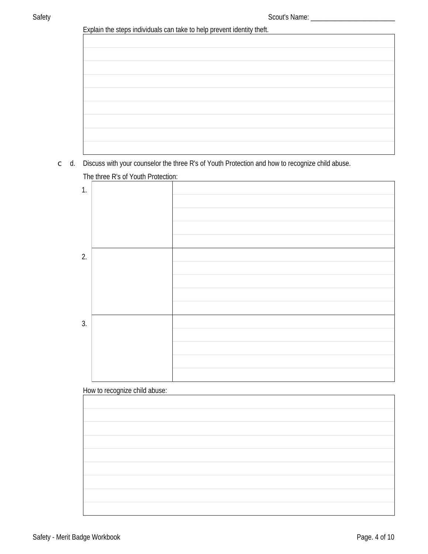| Explain the steps individuals can take to help prevent identity theft. |
|------------------------------------------------------------------------|
|------------------------------------------------------------------------|

| Explain the steps individuals can take to neip prevent luctually then. |  |
|------------------------------------------------------------------------|--|
|                                                                        |  |
|                                                                        |  |
|                                                                        |  |
|                                                                        |  |
|                                                                        |  |
|                                                                        |  |
|                                                                        |  |
|                                                                        |  |
|                                                                        |  |
|                                                                        |  |
|                                                                        |  |
|                                                                        |  |
|                                                                        |  |
|                                                                        |  |
|                                                                        |  |
|                                                                        |  |
|                                                                        |  |
|                                                                        |  |
|                                                                        |  |
|                                                                        |  |
|                                                                        |  |
|                                                                        |  |
|                                                                        |  |
|                                                                        |  |
|                                                                        |  |
|                                                                        |  |
|                                                                        |  |

 $\subset$  d. Discuss with your counselor the three R's of Youth Protection and how to recognize child abuse.

The three R's of Youth Protection:



# How to recognize child abuse: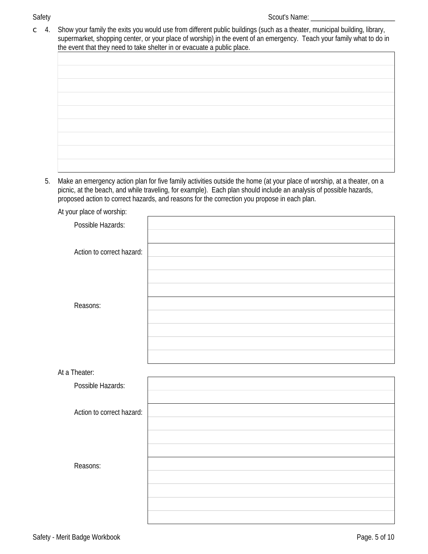# **Safety**

Show your family the exits you would use from different public buildings (such as a theater, municipal building, library,  $\subset$  4. supermarket, shopping center, or your place of worship) in the event of an emergency. Teach your family what to do in the event that they need to take shelter in or evacuate a public place.

| no ovem mat moy nooa to take energy in or ovacaato a passio place. |  |
|--------------------------------------------------------------------|--|
|                                                                    |  |
|                                                                    |  |
|                                                                    |  |
|                                                                    |  |
|                                                                    |  |
|                                                                    |  |
|                                                                    |  |
|                                                                    |  |
|                                                                    |  |
|                                                                    |  |
|                                                                    |  |

5. Make an emergency action plan for five family activities outside the home (at your place of worship, at a theater, on a picnic, at the beach, and while traveling, for example). Each plan should include an analysis of possible hazards, proposed action to correct hazards, and reasons for the correction you propose in each plan.

| At your place of worship: |  |
|---------------------------|--|
| <b>Possible Hazards:</b>  |  |
|                           |  |
| Action to correct hazard: |  |
|                           |  |
|                           |  |
|                           |  |
| Reasons:                  |  |
|                           |  |
|                           |  |
|                           |  |
|                           |  |
| At a Theater:             |  |
| <b>Possible Hazards:</b>  |  |
|                           |  |
| Action to correct hazard: |  |
|                           |  |
|                           |  |
|                           |  |
| Reasons:                  |  |
|                           |  |
|                           |  |
|                           |  |
|                           |  |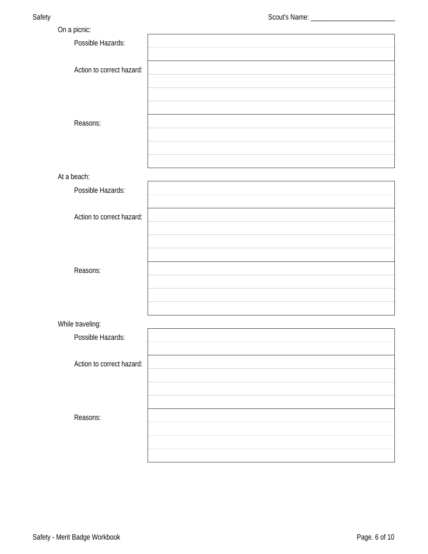| Possible Hazards:<br>Action to correct hazard:<br>Reasons:<br>At a beach:<br><b>Possible Hazards:</b><br>Action to correct hazard:<br>Reasons:<br>While traveling:<br><b>Possible Hazards:</b><br>Action to correct hazard:<br>Reasons: | On a picnic: |  |
|-----------------------------------------------------------------------------------------------------------------------------------------------------------------------------------------------------------------------------------------|--------------|--|
|                                                                                                                                                                                                                                         |              |  |
|                                                                                                                                                                                                                                         |              |  |
|                                                                                                                                                                                                                                         |              |  |
|                                                                                                                                                                                                                                         |              |  |
|                                                                                                                                                                                                                                         |              |  |
|                                                                                                                                                                                                                                         |              |  |
|                                                                                                                                                                                                                                         |              |  |
|                                                                                                                                                                                                                                         |              |  |
|                                                                                                                                                                                                                                         |              |  |
|                                                                                                                                                                                                                                         |              |  |
|                                                                                                                                                                                                                                         |              |  |
|                                                                                                                                                                                                                                         |              |  |
|                                                                                                                                                                                                                                         |              |  |
|                                                                                                                                                                                                                                         |              |  |
|                                                                                                                                                                                                                                         |              |  |
|                                                                                                                                                                                                                                         |              |  |
|                                                                                                                                                                                                                                         |              |  |
|                                                                                                                                                                                                                                         |              |  |
|                                                                                                                                                                                                                                         |              |  |
|                                                                                                                                                                                                                                         |              |  |
|                                                                                                                                                                                                                                         |              |  |
|                                                                                                                                                                                                                                         |              |  |
|                                                                                                                                                                                                                                         |              |  |
|                                                                                                                                                                                                                                         |              |  |
|                                                                                                                                                                                                                                         |              |  |
|                                                                                                                                                                                                                                         |              |  |
|                                                                                                                                                                                                                                         |              |  |
|                                                                                                                                                                                                                                         |              |  |
|                                                                                                                                                                                                                                         |              |  |
|                                                                                                                                                                                                                                         |              |  |
|                                                                                                                                                                                                                                         |              |  |
|                                                                                                                                                                                                                                         |              |  |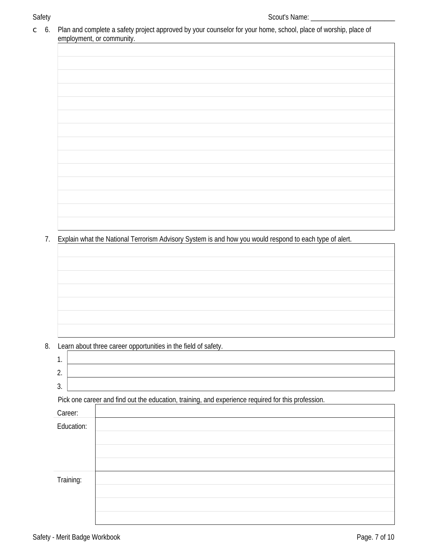$\mathsf C$ 

| Explain what the National Terrorism Advisory System is and how you would respond to each type of alert.<br>Learn about three career opportunities in the field of safety.<br>1.<br>2.<br>3.<br>Pick one career and find out the education, training, and experience required for this profession.<br>Career:<br><b>Education:</b><br>Training: | employment, or community. |
|------------------------------------------------------------------------------------------------------------------------------------------------------------------------------------------------------------------------------------------------------------------------------------------------------------------------------------------------|---------------------------|
|                                                                                                                                                                                                                                                                                                                                                |                           |
|                                                                                                                                                                                                                                                                                                                                                |                           |
|                                                                                                                                                                                                                                                                                                                                                |                           |
|                                                                                                                                                                                                                                                                                                                                                |                           |
|                                                                                                                                                                                                                                                                                                                                                |                           |
|                                                                                                                                                                                                                                                                                                                                                |                           |
|                                                                                                                                                                                                                                                                                                                                                |                           |
|                                                                                                                                                                                                                                                                                                                                                |                           |
|                                                                                                                                                                                                                                                                                                                                                |                           |
|                                                                                                                                                                                                                                                                                                                                                |                           |
|                                                                                                                                                                                                                                                                                                                                                |                           |
|                                                                                                                                                                                                                                                                                                                                                |                           |
|                                                                                                                                                                                                                                                                                                                                                |                           |
|                                                                                                                                                                                                                                                                                                                                                |                           |
|                                                                                                                                                                                                                                                                                                                                                |                           |
|                                                                                                                                                                                                                                                                                                                                                |                           |
|                                                                                                                                                                                                                                                                                                                                                |                           |
|                                                                                                                                                                                                                                                                                                                                                |                           |
|                                                                                                                                                                                                                                                                                                                                                |                           |
|                                                                                                                                                                                                                                                                                                                                                |                           |
|                                                                                                                                                                                                                                                                                                                                                |                           |
|                                                                                                                                                                                                                                                                                                                                                |                           |
|                                                                                                                                                                                                                                                                                                                                                |                           |
|                                                                                                                                                                                                                                                                                                                                                |                           |
|                                                                                                                                                                                                                                                                                                                                                |                           |
|                                                                                                                                                                                                                                                                                                                                                |                           |
|                                                                                                                                                                                                                                                                                                                                                |                           |
|                                                                                                                                                                                                                                                                                                                                                |                           |
|                                                                                                                                                                                                                                                                                                                                                |                           |
|                                                                                                                                                                                                                                                                                                                                                |                           |
|                                                                                                                                                                                                                                                                                                                                                |                           |
|                                                                                                                                                                                                                                                                                                                                                |                           |
|                                                                                                                                                                                                                                                                                                                                                |                           |
|                                                                                                                                                                                                                                                                                                                                                |                           |
|                                                                                                                                                                                                                                                                                                                                                |                           |
|                                                                                                                                                                                                                                                                                                                                                |                           |
|                                                                                                                                                                                                                                                                                                                                                |                           |
|                                                                                                                                                                                                                                                                                                                                                |                           |
|                                                                                                                                                                                                                                                                                                                                                |                           |
|                                                                                                                                                                                                                                                                                                                                                |                           |
|                                                                                                                                                                                                                                                                                                                                                |                           |
|                                                                                                                                                                                                                                                                                                                                                |                           |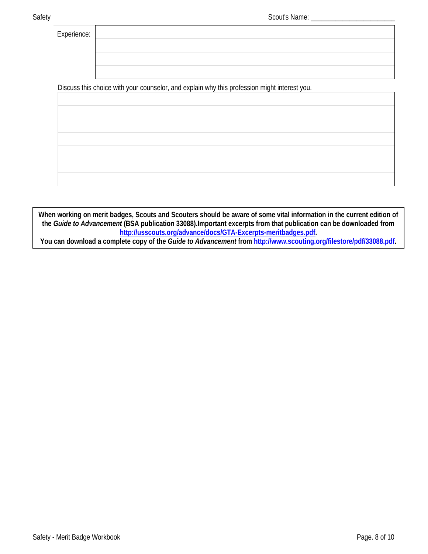Experience:

Discuss this choice with your counselor, and explain why this profession might interest you.

When working on merit badges, Scouts and Scouters should be aware of some vital information in the current edition of the Guide to Advancement (BSA publication 33088). Important excerpts from that publication can be downloaded from http://usscouts.org/advance/docs/GTA-Excerpts-meritbadges.pdf.

You can download a complete copy of the Guide to Advancement from http://www.scouting.org/filestore/pdf/33088.pdf.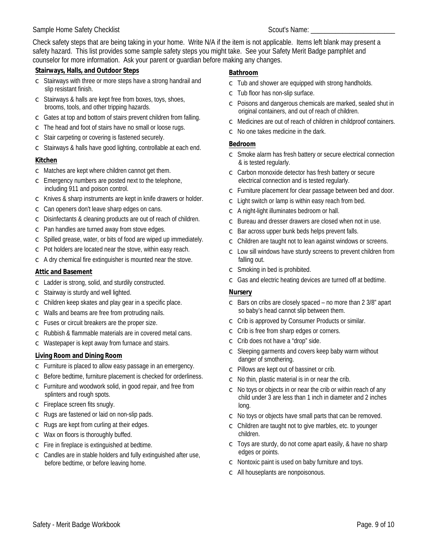## **Sample Home Safety Checklist**

Check safety steps that are being taking in your home. Write N/A if the item is not applicable. Items left blank may present a safety hazard. This list provides some sample safety steps you might take. See your Safety Merit Badge pamphlet and counselor for more information. Ask your parent or quardian before making any changes.

## **Stairways, Halls, and Outdoor Steps**

- Stairways with three or more steps have a strong handrail and  $\subset$ slip resistant finish.
- $\circ$  Stairways & halls are kept free from boxes, toys, shoes, brooms, tools, and other tripping hazards.
- $\circ$  Gates at top and bottom of stairs prevent children from falling.
- $\circ$  The head and foot of stairs have no small or loose rugs.
- $\circ$  Stair carpeting or covering is fastened securely.
- $\circ$  Stairways & halls have good lighting, controllable at each end.

# Kitchen

- $\circ$  Matches are kept where children cannot get them.
- $\circ$  Emergency numbers are posted next to the telephone, including 911 and poison control.
- $\circ$  Knives & sharp instruments are kept in knife drawers or holder.
- $\circ$  Can openers don't leave sharp edges on cans.
- $\circ$  Disinfectants & cleaning products are out of reach of children.
- $\circ$  Pan handles are turned away from stove edges.
- $\circ$  Spilled grease, water, or bits of food are wiped up immediately.
- $\circ$  Pot holders are located near the stove, within easy reach.
- $\subset$  A dry chemical fire extinguisher is mounted near the stove.

# **Attic and Basement**

- $\circ$  Ladder is strong, solid, and sturdily constructed.
- $\subset$  Stairway is sturdy and well lighted.
- Children keep skates and play gear in a specific place.  $\mathsf{C}$
- $\circ$  Walls and beams are free from protruding nails.
- $\circ$  Fuses or circuit breakers are the proper size.
- $\circ$  Rubbish & flammable materials are in covered metal cans.
- $\circ$  Wastepaper is kept away from furnace and stairs.

# **Living Room and Dining Room**

- $\subset$  Furniture is placed to allow easy passage in an emergency.
- $\circ$  Before bedtime, furniture placement is checked for orderliness.
- $\circ$  Furniture and woodwork solid, in good repair, and free from splinters and rough spots.
- $\subset$  Fireplace screen fits snugly.
- $\subset$  Rugs are fastened or laid on non-slip pads.
- $\circ$  Rugs are kept from curling at their edges.
- $\circ$  Wax on floors is thoroughly buffed.
- $\circ$  Fire in fireplace is extinguished at bedtime.
- $\circ$  Candles are in stable holders and fully extinguished after use, before bedtime, or before leaving home.

## **Bathroom**

- $\subset$  Tub and shower are equipped with strong handholds.
- $\subset$  Tub floor has non-slip surface.
- Poisons and dangerous chemicals are marked, sealed shut in  $\mathsf{C}$ original containers, and out of reach of children.
- $\circ$  Medicines are out of reach of children in childproof containers.
- $\circ$  No one takes medicine in the dark.

# **Bedroom**

- $\circ$  Smoke alarm has fresh battery or secure electrical connection & is tested regularly.
- $\subset$  Carbon monoxide detector has fresh battery or secure electrical connection and is tested regularly.
- $\subset$  Furniture placement for clear passage between bed and door.
- $\circ$  Light switch or lamp is within easy reach from bed.
- $\subset$  A night-light illuminates bedroom or hall.
- $\circ$  Bureau and dresser drawers are closed when not in use.
- $\circ$  Bar across upper bunk beds helps prevent falls.
- $\subset$  Children are taught not to lean against windows or screens.
- $\circ$  Low sill windows have sturdy screens to prevent children from falling out.
- $\circ$  Smoking in bed is prohibited.
- $\mathsf{C}$ Gas and electric heating devices are turned off at bedtime.

# **Nursery**

- $\circ$  Bars on cribs are closely spaced no more than 2 3/8" apart so baby's head cannot slip between them.
- $\subset$  Crib is approved by Consumer Products or similar.
- Crib is free from sharp edges or corners.  $\overline{C}$
- $\circ$  Crib does not have a "drop" side.
- $\circ$  Sleeping garments and covers keep baby warm without danger of smothering.
- $\circ$  Pillows are kept out of bassinet or crib.
- $\circ$  No thin, plastic material is in or near the crib.
- $\circ$  No toys or objects in or near the crib or within reach of any child under 3 are less than 1 inch in diameter and 2 inches lona.
- $\subset$  No toys or objects have small parts that can be removed.
- $\circ$  Children are taught not to give marbles, etc. to younger children.
- $\circ$  Toys are sturdy, do not come apart easily, & have no sharp edges or points.
- $\circ$  Nontoxic paint is used on baby furniture and toys.
- $\subset$  All houseplants are nonpoisonous.
- 
- 
-